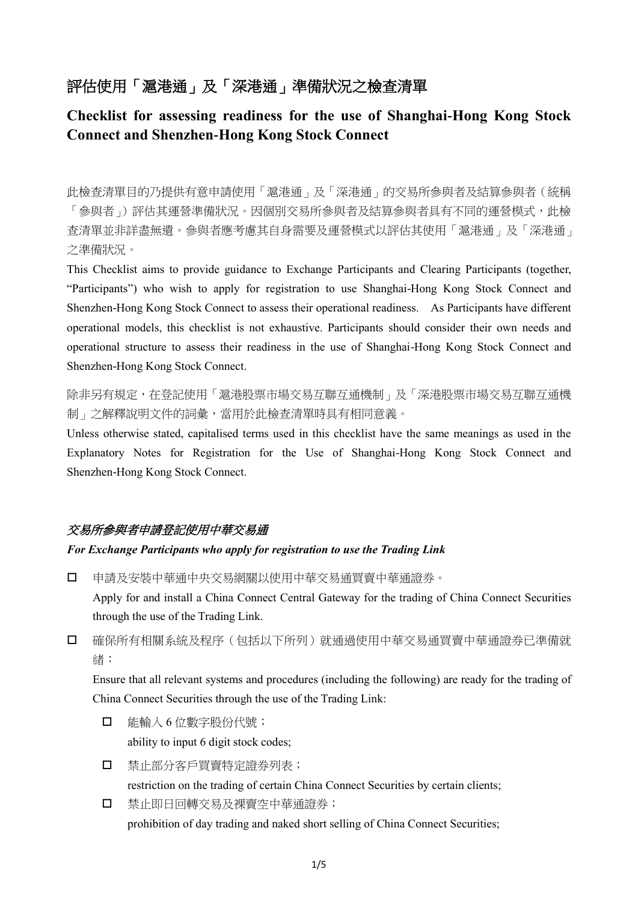# 評估使用「滬港通」及「深港通」準備狀況之檢查清單

## **Checklist for assessing readiness for the use of Shanghai-Hong Kong Stock Connect and Shenzhen-Hong Kong Stock Connect**

此檢查清單目的乃提供有意申請使用「滬港通」及「深港通」的交易所參與者及結算參與者(統稱 「參與者」)評估其運營準備狀況。因個別交易所參與者及結算參與者具有不同的運營模式,此檢 查清單並非詳盡無遺。參與者應考慮其自身需要及運營模式以評估其使用「滬港通」及「深港通」 之準備狀況。

This Checklist aims to provide guidance to Exchange Participants and Clearing Participants (together, "Participants") who wish to apply for registration to use Shanghai-Hong Kong Stock Connect and Shenzhen-Hong Kong Stock Connect to assess their operational readiness. As Participants have different operational models, this checklist is not exhaustive. Participants should consider their own needs and operational structure to assess their readiness in the use of Shanghai-Hong Kong Stock Connect and Shenzhen-Hong Kong Stock Connect.

除非另有規定,在登記使用「滬港股票市場交易互聯互通機制」及「深港股票市場交易互聯互通機 制」之解釋說明文件的詞彙,當用於此檢查清單時具有相同意義。

Unless otherwise stated, capitalised terms used in this checklist have the same meanings as used in the Explanatory Notes for Registration for the Use of Shanghai-Hong Kong Stock Connect and Shenzhen-Hong Kong Stock Connect.

### 交易所參與者申請登記使用中華交易通

#### *For Exchange Participants who apply for registration to use the Trading Link*

申請及安裝中華通中央交易網關以使用中華交易通買賣中華通證券。

Apply for and install a China Connect Central Gateway for the trading of China Connect Securities through the use of the Trading Link.

 確保所有相關系統及程序(包括以下所列)就通過使用中華交易通買賣中華通證券已準備就 緒:

Ensure that all relevant systems and procedures (including the following) are ready for the trading of China Connect Securities through the use of the Trading Link:

- 能輸入 6 位數字股份代號; ability to input 6 digit stock codes;
- 口 禁止部分客戶買賣特定證券列表;

restriction on the trading of certain China Connect Securities by certain clients;

 禁止即日回轉交易及裸賣空中華通證券; prohibition of day trading and naked short selling of China Connect Securities;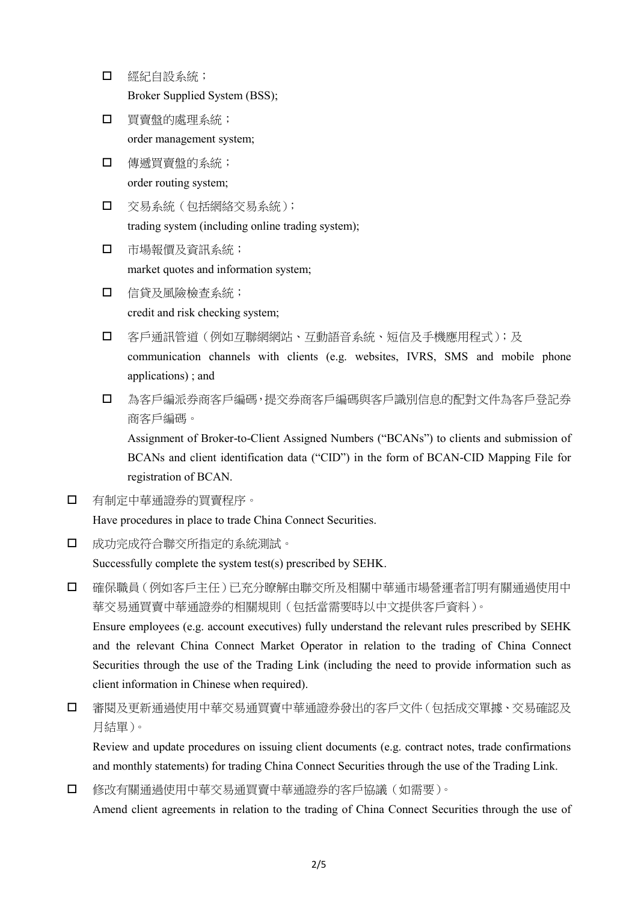- 經紀自設系統; Broker Supplied System (BSS);
- 買賣盤的處理系統; order management system;
- 傳遞買賣盤的系統; order routing system;
- 交易系統(包括網絡交易系統); trading system (including online trading system);
- 市場報價及資訊系統; market quotes and information system;
- 信貸及風險檢查系統; credit and risk checking system;
- □ 客戶通訊管道(例如互聯網網站、互動語音系統、短信及手機應用程式);及 communication channels with clients (e.g. websites, IVRS, SMS and mobile phone applications) ; and
- □ 為客戶編派券商客戶編碼,提交券商客戶編碼與客戶識別信息的配對文件為客戶登記券 商客戶編碼。

Assignment of Broker-to-Client Assigned Numbers ("BCANs") to clients and submission of BCANs and client identification data ("CID") in the form of BCAN-CID Mapping File for registration of BCAN.

有制定中華通證券的買賣程序。

Have procedures in place to trade China Connect Securities.

成功完成符合聯交所指定的系統測試。

Successfully complete the system test(s) prescribed by SEHK.

- 確保職員(例如客戶主任)已充分瞭解由聯交所及相關中華通市場營運者訂明有關通過使用中 華交易通買賣中華通證券的相關規則(包括當需要時以中文提供客戶資料)。 Ensure employees (e.g. account executives) fully understand the relevant rules prescribed by SEHK and the relevant China Connect Market Operator in relation to the trading of China Connect Securities through the use of the Trading Link (including the need to provide information such as client information in Chinese when required).
- 審閱及更新通過使用中華交易通買賣中華通證券發出的客戶文件(包括成交單據、交易確認及 月結單)。

Review and update procedures on issuing client documents (e.g. contract notes, trade confirmations and monthly statements) for trading China Connect Securities through the use of the Trading Link.

修改有關通過使用中華交易通買賣中華通證券的客戶協議(如需要)。

Amend client agreements in relation to the trading of China Connect Securities through the use of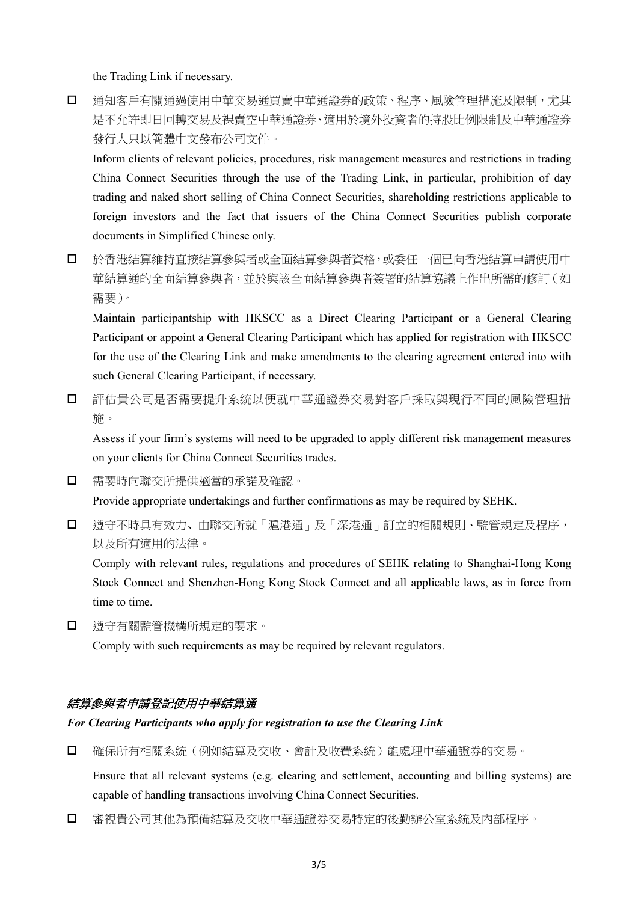the Trading Link if necessary.

口 通知客戶有關通過使用中華交易通買賣中華通證券的政策、程序、風險管理措施及限制,尤其 是不允許即日回轉交易及裸賣空中華通證券、適用於境外投資者的持股比例限制及中華通證券 發行人只以簡體中文發布公司文件。

Inform clients of relevant policies, procedures, risk management measures and restrictions in trading China Connect Securities through the use of the Trading Link, in particular, prohibition of day trading and naked short selling of China Connect Securities, shareholding restrictions applicable to foreign investors and the fact that issuers of the China Connect Securities publish corporate documents in Simplified Chinese only.

 於香港結算維持直接結算參與者或全面結算參與者資格,或委任一個已向香港結算申請使用中 華結算通的全面結算參與者,並於與該全面結算參與者簽署的結算協議上作出所需的修訂(如 需要)。

Maintain participantship with HKSCC as a Direct Clearing Participant or a General Clearing Participant or appoint a General Clearing Participant which has applied for registration with HKSCC for the use of the Clearing Link and make amendments to the clearing agreement entered into with such General Clearing Participant, if necessary.

 評估貴公司是否需要提升系統以便就中華通證券交易對客戶採取與現行不同的風險管理措 施。

Assess if your firm's systems will need to be upgraded to apply different risk management measures on your clients for China Connect Securities trades.

需要時向聯交所提供適當的承諾及確認。

Provide appropriate undertakings and further confirmations as may be required by SEHK.

 遵守不時具有效力、由聯交所就「滬港通」及「深港通」訂立的相關規則、監管規定及程序, 以及所有適用的法律。

Comply with relevant rules, regulations and procedures of SEHK relating to Shanghai-Hong Kong Stock Connect and Shenzhen-Hong Kong Stock Connect and all applicable laws, as in force from time to time.

遵守有關監管機構所規定的要求。

Comply with such requirements as may be required by relevant regulators.

### 結算參與者申請登記使用中華結算通

#### *For Clearing Participants who apply for registration to use the Clearing Link*

確保所有相關系統(例如結算及交收、會計及收費系統)能處理中華通證券的交易。

Ensure that all relevant systems (e.g. clearing and settlement, accounting and billing systems) are capable of handling transactions involving China Connect Securities.

審視貴公司其他為預備結算及交收中華通證券交易特定的後勤辦公室系統及內部程序。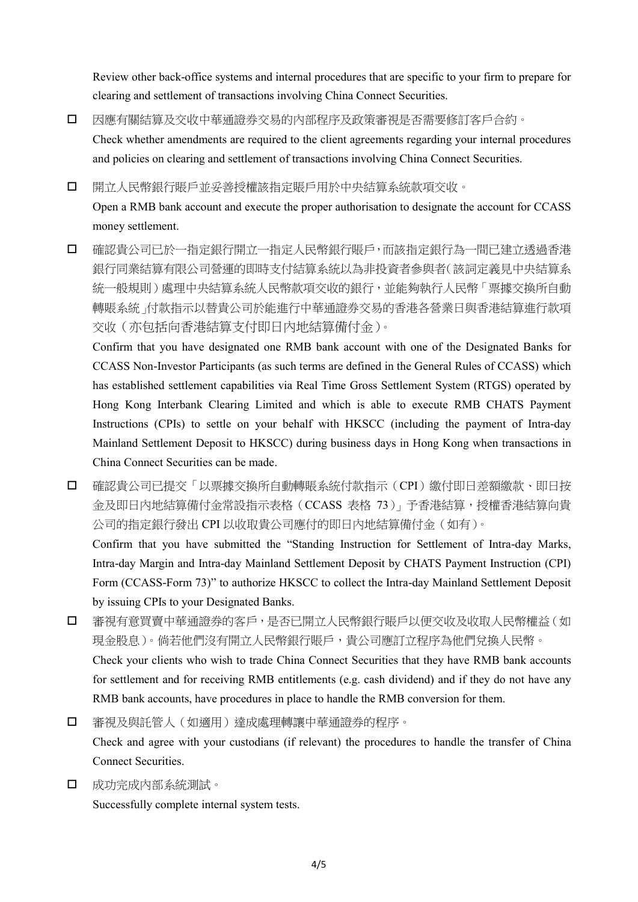Review other back-office systems and internal procedures that are specific to your firm to prepare for clearing and settlement of transactions involving China Connect Securities.

- 因應有關結算及交收中華通證券交易的內部程序及政策審視是否需要修訂客戶合約。 Check whether amendments are required to the client agreements regarding your internal procedures and policies on clearing and settlement of transactions involving China Connect Securities.
- 開立人民幣銀行賬戶並妥善授權該指定賬戶用於中央結算系統款項交收。

Open a RMB bank account and execute the proper authorisation to designate the account for CCASS money settlement.

 確認貴公司已於一指定銀行開立一指定人民幣銀行賬戶,而該指定銀行為一間已建立透過香港 銀行同業結算有限公司營運的即時支付結算系統以為非投資者參與者(該詞定義見中央結算系 統一般規則)處理中央結算系統人民幣款項交收的銀行,並能夠執行人民幣「票據交換所自動 轉賬系統」付款指示以替貴公司於能進行中華通證券交易的香港各營業日與香港結算進行款項 交收(亦包括向香港結算支付即日內地結算備付金)。

Confirm that you have designated one RMB bank account with one of the Designated Banks for CCASS Non-Investor Participants (as such terms are defined in the General Rules of CCASS) which has established settlement capabilities via Real Time Gross Settlement System (RTGS) operated by Hong Kong Interbank Clearing Limited and which is able to execute RMB CHATS Payment Instructions (CPIs) to settle on your behalf with HKSCC (including the payment of Intra-day Mainland Settlement Deposit to HKSCC) during business days in Hong Kong when transactions in China Connect Securities can be made.

□ 確認貴公司已提交「以票據交換所自動轉賬系統付款指示(CPI)繳付即日差額繳款、即日按 金及即日内地結算備付金常設指示表格(CCASS 表格 73)」予香港結算,授權香港結算向貴 公司的指定銀行發出 CPI 以收取貴公司應付的即日內地結算備付金(如有)。

Confirm that you have submitted the "Standing Instruction for Settlement of Intra-day Marks, Intra-day Margin and Intra-day Mainland Settlement Deposit by CHATS Payment Instruction (CPI) Form (CCASS-Form 73)" to authorize HKSCC to collect the Intra-day Mainland Settlement Deposit by issuing CPIs to your Designated Banks.

- 審視有意買賣中華通證券的客戶,是否已開立人民幣銀行賬戶以便交收及收取人民幣權益(如 現金股息)。倘若他們沒有開立人民幣銀行賬戶,貴公司應訂立程序為他們兌換人民幣。 Check your clients who wish to trade China Connect Securities that they have RMB bank accounts for settlement and for receiving RMB entitlements (e.g. cash dividend) and if they do not have any RMB bank accounts, have procedures in place to handle the RMB conversion for them.
- □ 審視及與託管人(如適用)達成處理轉讓中華通證券的程序。 Check and agree with your custodians (if relevant) the procedures to handle the transfer of China Connect Securities.
- 成功完成內部系統測試。

Successfully complete internal system tests.